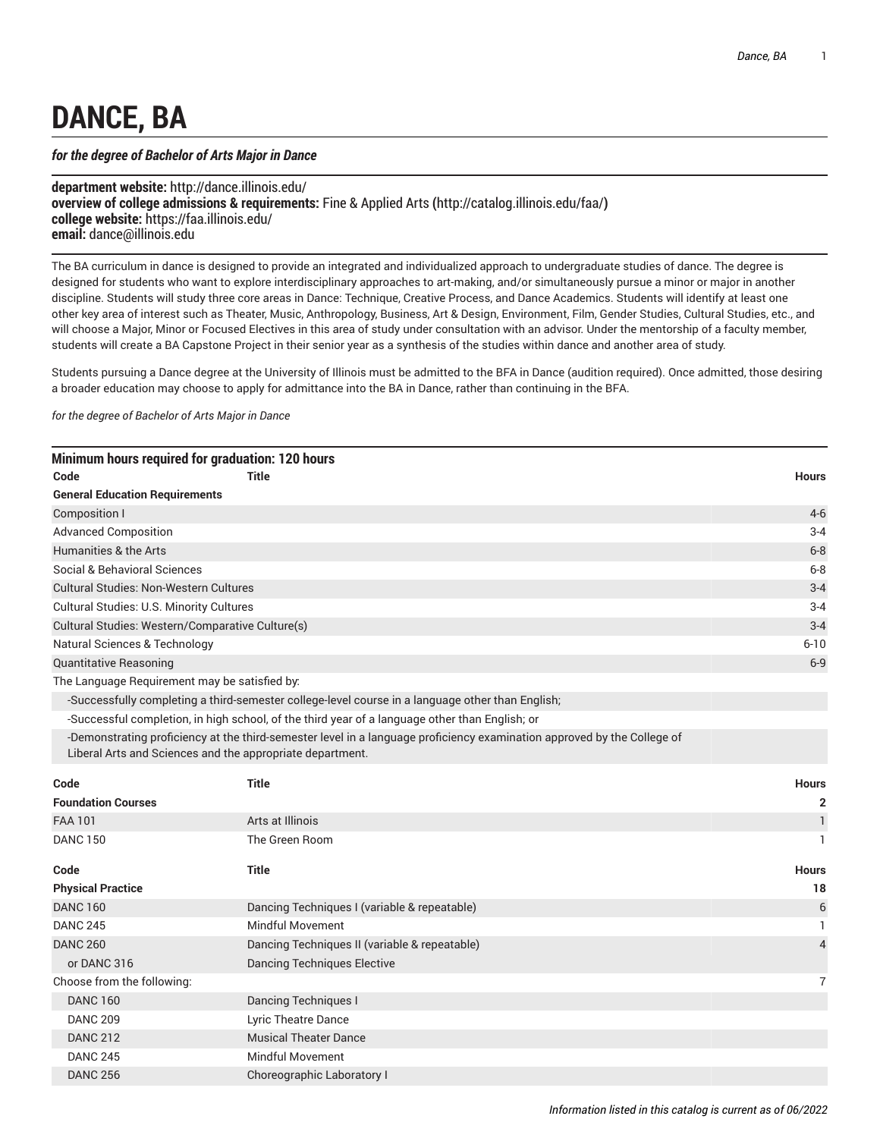## **DANCE, BA**

## *for the degree of Bachelor of Arts Major in Dance*

**department website:** <http://dance.illinois.edu/> **overview of college admissions & requirements:** Fine & [Applied](http://catalog.illinois.edu/faa/) Arts **(**<http://catalog.illinois.edu/faa/>**) college website:** <https://faa.illinois.edu/> **email:** [dance@illinois.edu](mailto:dance@illinois.edu)

The BA curriculum in dance is designed to provide an integrated and individualized approach to undergraduate studies of dance. The degree is designed for students who want to explore interdisciplinary approaches to art-making, and/or simultaneously pursue a minor or major in another discipline. Students will study three core areas in Dance: Technique, Creative Process, and Dance Academics. Students will identify at least one other key area of interest such as Theater, Music, Anthropology, Business, Art & Design, Environment, Film, Gender Studies, Cultural Studies, etc., and will choose a Major, Minor or Focused Electives in this area of study under consultation with an advisor. Under the mentorship of a faculty member, students will create a BA Capstone Project in their senior year as a synthesis of the studies within dance and another area of study.

Students pursuing a Dance degree at the University of Illinois must be admitted to the BFA in Dance (audition required). Once admitted, those desiring a broader education may choose to apply for admittance into the BA in Dance, rather than continuing in the BFA.

*for the degree of Bachelor of Arts Major in Dance*

|                                                  | Minimum hours required for graduation: 120 hours          |                                                                                                                         |                |
|--------------------------------------------------|-----------------------------------------------------------|-------------------------------------------------------------------------------------------------------------------------|----------------|
| Code                                             | <b>Title</b>                                              |                                                                                                                         | <b>Hours</b>   |
| <b>General Education Requirements</b>            |                                                           |                                                                                                                         |                |
| Composition I                                    |                                                           |                                                                                                                         | $4 - 6$        |
| <b>Advanced Composition</b>                      |                                                           |                                                                                                                         | $3 - 4$        |
| Humanities & the Arts                            |                                                           |                                                                                                                         | $6 - 8$        |
| Social & Behavioral Sciences                     |                                                           |                                                                                                                         | $6 - 8$        |
| <b>Cultural Studies: Non-Western Cultures</b>    |                                                           |                                                                                                                         | $3 - 4$        |
| Cultural Studies: U.S. Minority Cultures         |                                                           |                                                                                                                         | $3 - 4$        |
| Cultural Studies: Western/Comparative Culture(s) |                                                           |                                                                                                                         | $3 - 4$        |
| <b>Natural Sciences &amp; Technology</b>         | $6 - 10$                                                  |                                                                                                                         |                |
| <b>Quantitative Reasoning</b>                    |                                                           |                                                                                                                         | $6-9$          |
| The Language Requirement may be satisfied by:    |                                                           |                                                                                                                         |                |
|                                                  |                                                           | -Successfully completing a third-semester college-level course in a language other than English;                        |                |
|                                                  |                                                           | -Successful completion, in high school, of the third year of a language other than English; or                          |                |
|                                                  | Liberal Arts and Sciences and the appropriate department. | -Demonstrating proficiency at the third-semester level in a language proficiency examination approved by the College of |                |
| Code                                             | <b>Title</b>                                              |                                                                                                                         | <b>Hours</b>   |
| <b>Foundation Courses</b>                        |                                                           |                                                                                                                         | 2              |
| <b>FAA 101</b>                                   | Arts at Illinois                                          |                                                                                                                         | 1              |
| <b>DANC 150</b>                                  | The Green Room                                            |                                                                                                                         | 1              |
| Code                                             | <b>Title</b>                                              |                                                                                                                         | <b>Hours</b>   |
| <b>Physical Practice</b>                         |                                                           |                                                                                                                         | 18             |
| <b>DANC 160</b>                                  |                                                           | Dancing Techniques I (variable & repeatable)                                                                            | $6\,$          |
| <b>DANC 245</b>                                  | <b>Mindful Movement</b>                                   |                                                                                                                         | 1              |
| <b>DANC 260</b>                                  |                                                           | Dancing Techniques II (variable & repeatable)                                                                           | $\overline{4}$ |
| or DANC 316                                      | <b>Dancing Techniques Elective</b>                        |                                                                                                                         |                |
| Choose from the following:                       |                                                           |                                                                                                                         | $\overline{7}$ |
| <b>DANC 160</b>                                  | <b>Dancing Techniques I</b>                               |                                                                                                                         |                |
| <b>DANC 209</b>                                  | Lyric Theatre Dance                                       |                                                                                                                         |                |
| <b>DANC 212</b>                                  | <b>Musical Theater Dance</b>                              |                                                                                                                         |                |
| <b>DANC 245</b>                                  | <b>Mindful Movement</b>                                   |                                                                                                                         |                |
| <b>DANC 256</b>                                  | Choreographic Laboratory I                                |                                                                                                                         |                |